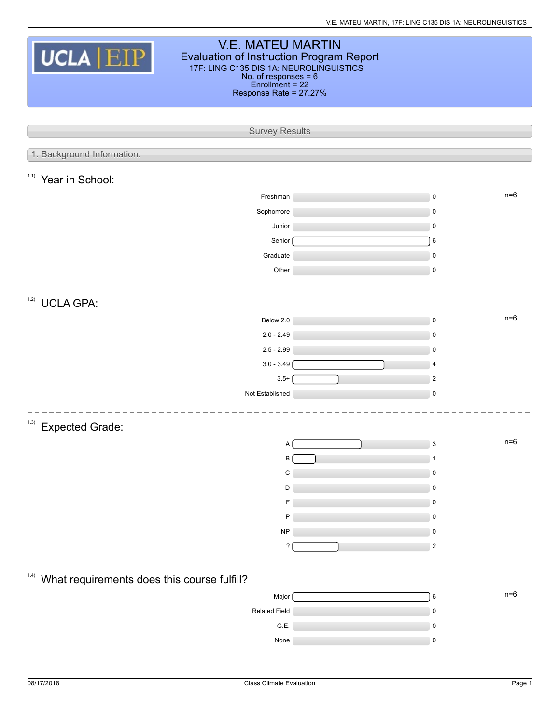| <b>V.E. MATEU MARTIN</b><br><b>UCLA EIP</b><br>Evaluation of Instruction Program Report<br>17F: LING C135 DIS 1A: NEUROLINGUISTICS<br>No. of responses $= 6$<br>$Enrollment = 22$<br>Response Rate = 27.27% |  |                    |  |  |  |  |  |  |
|-------------------------------------------------------------------------------------------------------------------------------------------------------------------------------------------------------------|--|--------------------|--|--|--|--|--|--|
| <b>Survey Results</b>                                                                                                                                                                                       |  |                    |  |  |  |  |  |  |
| 1. Background Information:                                                                                                                                                                                  |  |                    |  |  |  |  |  |  |
| 1.1)<br>Year in School:                                                                                                                                                                                     |  |                    |  |  |  |  |  |  |
|                                                                                                                                                                                                             |  | $n=6$              |  |  |  |  |  |  |
| Freshman<br>Sophomore                                                                                                                                                                                       |  | $\pmb{0}$<br>0     |  |  |  |  |  |  |
| Junior                                                                                                                                                                                                      |  | $\mathbf 0$        |  |  |  |  |  |  |
| Senior                                                                                                                                                                                                      |  | $\,6$              |  |  |  |  |  |  |
| Graduate                                                                                                                                                                                                    |  | $\pmb{0}$          |  |  |  |  |  |  |
| Other                                                                                                                                                                                                       |  | $\mathbf 0$        |  |  |  |  |  |  |
| 1.2)<br><b>UCLA GPA:</b>                                                                                                                                                                                    |  |                    |  |  |  |  |  |  |
| Below 2.0                                                                                                                                                                                                   |  | $n=6$<br>$\pmb{0}$ |  |  |  |  |  |  |
| $2.0 - 2.49$                                                                                                                                                                                                |  | $\pmb{0}$          |  |  |  |  |  |  |
| $2.5 - 2.99$                                                                                                                                                                                                |  | 0                  |  |  |  |  |  |  |
| $3.0 - 3.49$                                                                                                                                                                                                |  | 4                  |  |  |  |  |  |  |
| $3.5+$                                                                                                                                                                                                      |  | $\boldsymbol{2}$   |  |  |  |  |  |  |
| Not Established                                                                                                                                                                                             |  | $\pmb{0}$          |  |  |  |  |  |  |
| (1.3)<br><b>Expected Grade:</b>                                                                                                                                                                             |  |                    |  |  |  |  |  |  |
| Α                                                                                                                                                                                                           |  | $n=6$<br>3         |  |  |  |  |  |  |
| B                                                                                                                                                                                                           |  |                    |  |  |  |  |  |  |
| C                                                                                                                                                                                                           |  | 0                  |  |  |  |  |  |  |
| D                                                                                                                                                                                                           |  | 0                  |  |  |  |  |  |  |
| F<br>P                                                                                                                                                                                                      |  | 0<br>0             |  |  |  |  |  |  |
| ${\sf NP}$                                                                                                                                                                                                  |  | 0                  |  |  |  |  |  |  |
| $\overline{\phantom{a}}$                                                                                                                                                                                    |  | $\boldsymbol{2}$   |  |  |  |  |  |  |
|                                                                                                                                                                                                             |  |                    |  |  |  |  |  |  |
| (1.4)<br>What requirements does this course fulfill?                                                                                                                                                        |  |                    |  |  |  |  |  |  |
| Major                                                                                                                                                                                                       |  | $n=6$<br>$\,6$     |  |  |  |  |  |  |
| Related Field                                                                                                                                                                                               |  | $\pmb{0}$          |  |  |  |  |  |  |
| G.E.                                                                                                                                                                                                        |  | 0                  |  |  |  |  |  |  |
| None                                                                                                                                                                                                        |  | $\pmb{0}$          |  |  |  |  |  |  |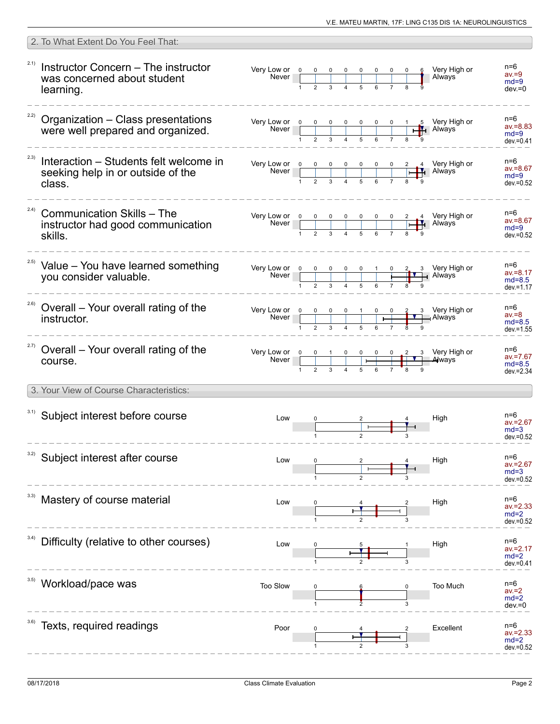| 2. To What Extent Do You Feel That:                                                           |                                                                                                                                                                                        |              |  |                   |                                                                                                                                                                                                                                                                                                                                                 |                                                |
|-----------------------------------------------------------------------------------------------|----------------------------------------------------------------------------------------------------------------------------------------------------------------------------------------|--------------|--|-------------------|-------------------------------------------------------------------------------------------------------------------------------------------------------------------------------------------------------------------------------------------------------------------------------------------------------------------------------------------------|------------------------------------------------|
| 2.1)<br>Instructor Concern - The instructor<br>was concerned about student<br>learning.       | Very Low or <u>o o o o o o o</u><br>Never                                                                                                                                              | $\mathbf{1}$ |  |                   | 6 Very High or<br>Always                                                                                                                                                                                                                                                                                                                        | n=6<br>$av = 9$<br>$md=9$<br>$dev = 0$         |
| 2.2)<br>Organization - Class presentations<br>were well prepared and organized.               | Very Low or $\begin{array}{ c c c c c c }\n\hline\n0 & 0 & 0 & 0 & 0 & 0 & 1 & 5 \\ \hline\n\end{array}$ S Very High or Never $\begin{array}{ c c c c c }\n\hline\n\end{array}$ Always |              |  |                   |                                                                                                                                                                                                                                                                                                                                                 | $n=6$<br>$av = 8.83$<br>$md=9$<br>$dev = 0.41$ |
| 2.3)<br>Interaction - Students felt welcome in<br>seeking help in or outside of the<br>class. | Very Low or 0 0 0<br><b>Never</b>                                                                                                                                                      |              |  |                   | 2 4 Very High or<br>H <sub>1</sub> Always                                                                                                                                                                                                                                                                                                       | n=6<br>$av = 8.67$<br>$md=9$<br>$dev = 0.52$   |
| 2.4)<br><b>Communication Skills - The</b><br>instructor had good communication<br>skills.     |                                                                                                                                                                                        |              |  |                   | Very Low or $\begin{array}{ c c c c c c }\n\hline\n0 & 0 & 0 & 0 & 0 & 0 & 2 & 4 \\ \hline\n\end{array}$ Very High or Never $\begin{array}{ c c c c c }\n\hline\n\end{array}$ Never $\begin{array}{ c c c c c }\n\hline\n\end{array}$ Never $\begin{array}{ c c c c }\n\hline\n\end{array}$ Never $\begin{array}{ c c c }\n\hline\n\end{array}$ | n=6<br>$av = 8.67$<br>$md=9$<br>$dev = 0.52$   |
| <sup>2.5)</sup> Value - You have learned something<br>you consider valuable.                  | Very Low or $\begin{array}{ c c c c c }\n\hline\n0 & 0 & 0 & 0 & 0 & 1 \\ \hline\n\end{array}$                                                                                         |              |  | <b>TIV</b> Always | 0 2 3 Very High or                                                                                                                                                                                                                                                                                                                              | n=6<br>$av = 8.17$<br>$md=8.5$<br>$dev = 1.17$ |
| 2.6)<br>Overall - Your overall rating of the<br>instructor.                                   | Very Low or 0<br>Never                                                                                                                                                                 |              |  |                   | 0 0 0 1 0 0 2 3 Very High or                                                                                                                                                                                                                                                                                                                    | n=6<br>$av = 8$<br>$md=8.5$<br>$dev = 1.55$    |
| <sup>2.7)</sup> Overall – Your overall rating of the<br>course.                               | Very Low or $\begin{array}{ c c c c c c }\n\hline\n&\text{Never} & 0 & 0 & 1 & 0 & 0 & 0 & 0 & 2 & 3 \\ \hline\n& 1 & 2 & 3 & 4 & 5 & 6 & 7 & 8 & 9\n\end{array}$ We ways              |              |  |                   | 3 Very High or                                                                                                                                                                                                                                                                                                                                  | n=6<br>$av = 7.67$<br>$md=8.5$<br>$dev = 2.34$ |
| 3. Your View of Course Characteristics:                                                       |                                                                                                                                                                                        |              |  |                   |                                                                                                                                                                                                                                                                                                                                                 |                                                |
| 3.1) Subject interest before course                                                           | Low                                                                                                                                                                                    |              |  |                   | High                                                                                                                                                                                                                                                                                                                                            | n=6<br>$av = 2.67$<br>$md=3$<br>$dev = 0.52$   |
| 3.2)<br>Subject interest after course                                                         | Low                                                                                                                                                                                    |              |  |                   | High                                                                                                                                                                                                                                                                                                                                            | n=6<br>$av = 2.67$<br>$md=3$<br>$dev = 0.52$   |
| Mastery of course material                                                                    | Low                                                                                                                                                                                    |              |  |                   | High                                                                                                                                                                                                                                                                                                                                            | n=6<br>$av = 2.33$<br>$md=2$<br>dev.=0.52      |
| 3.4)<br>Difficulty (relative to other courses)                                                | Low                                                                                                                                                                                    |              |  |                   | High                                                                                                                                                                                                                                                                                                                                            | $n=6$<br>av.=2.17<br>$md=2$<br>$dev = 0.41$    |
| Workload/pace was                                                                             | Too Slow                                                                                                                                                                               |              |  | 3                 | Too Much                                                                                                                                                                                                                                                                                                                                        | n=6<br>$av = 2$<br>$md=2$<br>$dev = 0$         |
| Texts, required readings                                                                      | Poor                                                                                                                                                                                   |              |  |                   | Excellent                                                                                                                                                                                                                                                                                                                                       | n=6<br>$av = 2.33$<br>$md=2$<br>dev.=0.52      |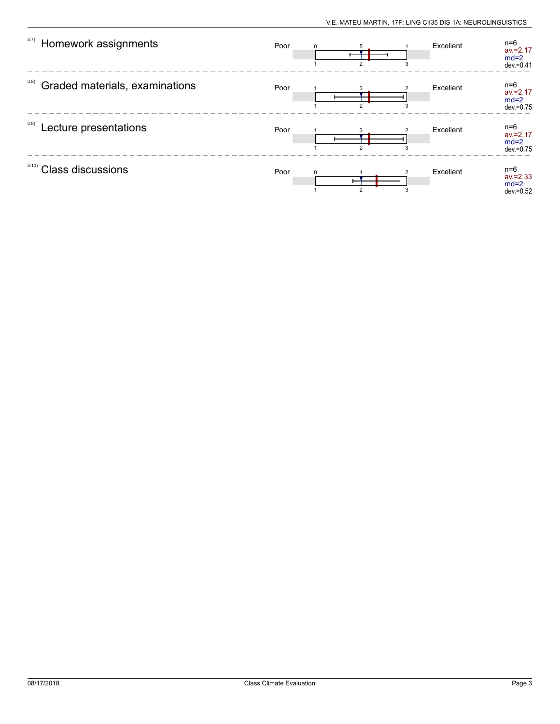| 3.7)<br>Homework assignments           | Poor | $\mathcal{D}$  | 3 | Excellent | $n=6$<br>$av = 2.17$<br>$md=2$<br>$dev = 0.41$ |
|----------------------------------------|------|----------------|---|-----------|------------------------------------------------|
| 3.8)<br>Graded materials, examinations | Poor | $\mathcal{D}$  | 3 | Excellent | $n=6$<br>$av = 2.17$<br>$md=2$<br>$dev = 0.75$ |
| 3.9)<br>Lecture presentations          | Poor | $\mathcal{P}$  | 3 | Excellent | $n=6$<br>$av = 2.17$<br>$md=2$<br>dev.=0.75    |
| 3.10<br><b>Class discussions</b>       | Poor | $\overline{2}$ |   | Excellent | n=6<br>$av = 2.33$<br>$md=2$<br>$dev = 0.52$   |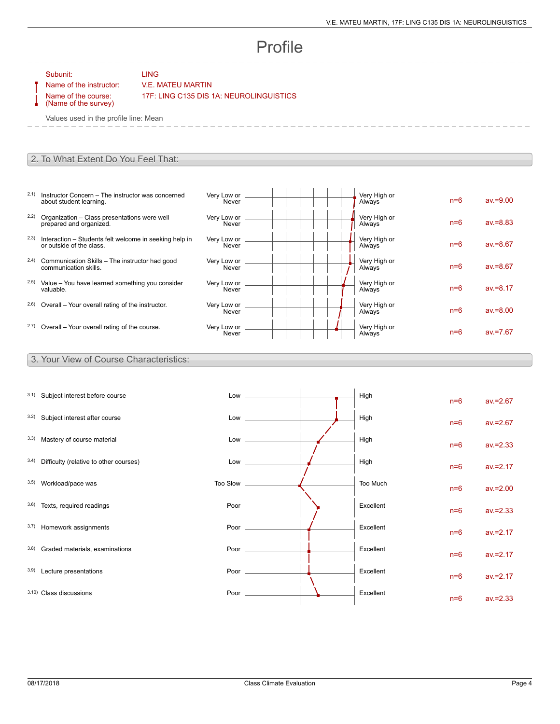# Profile

Subunit: LING

### Name of the instructor: V.E. MATEU MARTIN

Name of the course: (Name of the survey) 17F: LING C135 DIS 1A: NEUROLINGUISTICS

Values used in the profile line: Mean

#### 2. To What Extent Do You Feel That:

- 2.1) Instructor Concern The instructor was concerned about student learning.
- 2.2) Organization Class presentations were well prepared and organized.
- 2.3) Interaction Students felt welcome in seeking help in or outside of the class.
- 2.4) Communication Skills The instructor had good communication skills.
- 2.5) Value You have learned something you consider valuable.
- $2.6$ ) Overall Your overall rating of the instructor.
- $2.7)$  Overall Your overall rating of the course.

| Very Low or<br>Never | Very High or<br>Always | $n=6$ | $av = 9.00$ |
|----------------------|------------------------|-------|-------------|
| Very Low or<br>Never | Very High or<br>Always | $n=6$ | $av = 8.83$ |
| Very Low or<br>Never | Very High or<br>Always | $n=6$ | $av = 8.67$ |
| Very Low or<br>Never | Very High or<br>Always | $n=6$ | $av = 8.67$ |
| Very Low or<br>Never | Very High or<br>Always | $n=6$ | $av = 8.17$ |
| Very Low or<br>Never | Very High or<br>Always | $n=6$ | $av = 8.00$ |
| Very Low or<br>Never | Very High or<br>Always | $n=6$ | $av = 7.67$ |

#### 3. Your View of Course Characteristics:

| 3.1) | Subject interest before course         | Low      |  | High      | $n=6$ | $av = 2.67$ |
|------|----------------------------------------|----------|--|-----------|-------|-------------|
| 3.2) | Subject interest after course          | Low      |  | High      | $n=6$ | $av = 2.67$ |
| 3.3) | Mastery of course material             | Low      |  | High      | $n=6$ | $av = 2.33$ |
| 3.4) | Difficulty (relative to other courses) | Low      |  | High      | $n=6$ | $av = 2.17$ |
| 3.5) | Workload/pace was                      | Too Slow |  | Too Much  | $n=6$ | $av = 2.00$ |
| 3.6) | Texts, required readings               | Poor     |  | Excellent | $n=6$ | $av = 2.33$ |
| 3.7) | Homework assignments                   | Poor     |  | Excellent | $n=6$ | $av = 2.17$ |
| 3.8) | Graded materials, examinations         | Poor     |  | Excellent | $n=6$ | $av = 2.17$ |
| 3.9) | Lecture presentations                  | Poor     |  | Excellent | $n=6$ | $av = 2.17$ |
|      | 3.10) Class discussions                | Poor     |  | Excellent | $n=6$ | $av = 2.33$ |